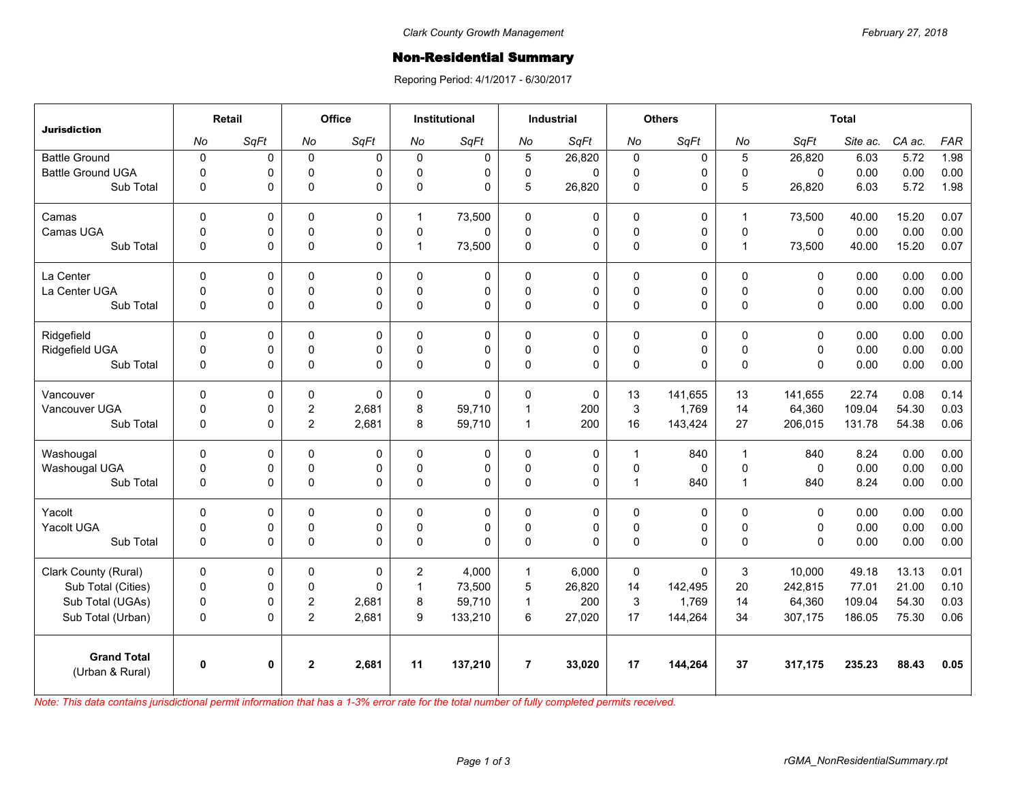## Non-Residential Summary

Reporing Period: 4/1/2017 - 6/30/2017

| Jurisdiction                          | Retail      |      | Office         |              | <b>Institutional</b> |          | <b>Industrial</b> |             | <b>Others</b> |             | <b>Total</b>   |              |          |        |            |
|---------------------------------------|-------------|------|----------------|--------------|----------------------|----------|-------------------|-------------|---------------|-------------|----------------|--------------|----------|--------|------------|
|                                       | No          | SqFt | No             | SqFt         | No                   | SqFt     | No                | SqFt        | No            | SqFt        | No             | SqFt         | Site ac. | CA ac. | <b>FAR</b> |
| <b>Battle Ground</b>                  | $\mathbf 0$ | 0    | $\mathbf 0$    | 0            | 0                    | 0        | 5                 | 26,820      | $\mathbf 0$   | 0           | 5              | 26,820       | 6.03     | 5.72   | 1.98       |
| <b>Battle Ground UGA</b>              | $\mathbf 0$ | 0    | 0              | $\Omega$     | $\Omega$             | 0        | 0                 | $\Omega$    | $\mathbf 0$   | 0           | $\Omega$       | $\Omega$     | 0.00     | 0.00   | 0.00       |
| Sub Total                             | $\mathbf 0$ | 0    | $\mathbf 0$    | 0            | 0                    | 0        | 5                 | 26,820      | $\mathsf 0$   | 0           | 5              | 26,820       | 6.03     | 5.72   | 1.98       |
| Camas                                 | $\mathbf 0$ | 0    | 0              | 0            | $\mathbf 1$          | 73,500   | $\mathbf 0$       | 0           | $\mathbf 0$   | $\mathbf 0$ | $\overline{1}$ | 73,500       | 40.00    | 15.20  | 0.07       |
| Camas UGA                             | $\mathbf 0$ | 0    | $\mathbf 0$    | $\Omega$     | $\Omega$             | $\Omega$ | 0                 | $\Omega$    | $\mathbf 0$   | 0           | $\Omega$       | $\mathbf{0}$ | 0.00     | 0.00   | 0.00       |
| Sub Total                             | $\mathbf 0$ | 0    | $\mathsf 0$    | 0            | $\mathbf{1}$         | 73,500   | 0                 | 0           | $\mathsf 0$   | 0           | $\overline{1}$ | 73,500       | 40.00    | 15.20  | 0.07       |
| La Center                             | $\mathbf 0$ | 0    | $\mathbf 0$    | $\Omega$     | $\Omega$             | 0        | $\mathbf 0$       | 0           | 0             | 0           | $\Omega$       | 0            | 0.00     | 0.00   | 0.00       |
| La Center UGA                         | $\Omega$    | 0    | $\mathbf 0$    | 0            | $\Omega$             | 0        | 0                 | 0           | $\mathbf 0$   | 0           | $\Omega$       | $\Omega$     | 0.00     | 0.00   | 0.00       |
| Sub Total                             | $\mathbf 0$ | 0    | $\pmb{0}$      | $\Omega$     | $\Omega$             | 0        | 0                 | $\Omega$    | $\mathsf 0$   | 0           | $\Omega$       | $\Omega$     | 0.00     | 0.00   | 0.00       |
| Ridgefield                            | $\Omega$    | 0    | 0              | $\Omega$     | 0                    | 0        | $\mathbf{0}$      | $\Omega$    | 0             | 0           | $\Omega$       | $\Omega$     | 0.00     | 0.00   | 0.00       |
| Ridgefield UGA                        | $\mathbf 0$ | 0    | $\mathbf 0$    | $\Omega$     | $\mathbf{0}$         | 0        | 0                 | $\mathbf 0$ | $\mathbf 0$   | 0           | $\Omega$       | $\Omega$     | 0.00     | 0.00   | 0.00       |
| Sub Total                             | $\mathbf 0$ | 0    | 0              | $\Omega$     | $\Omega$             | 0        | 0                 | $\Omega$    | 0             | 0           | $\Omega$       | $\Omega$     | 0.00     | 0.00   | 0.00       |
| Vancouver                             | $\mathbf 0$ | 0    | 0              | $\mathbf{0}$ | 0                    | $\Omega$ | $\mathbf 0$       | $\mathbf 0$ | 13            | 141.655     | 13             | 141.655      | 22.74    | 0.08   | 0.14       |
| Vancouver UGA                         | $\Omega$    | 0    | $\overline{2}$ | 2,681        | 8                    | 59,710   | $\overline{1}$    | 200         | 3             | 1,769       | 14             | 64,360       | 109.04   | 54.30  | 0.03       |
| Sub Total                             | $\mathbf 0$ | 0    | $\overline{2}$ | 2,681        | 8                    | 59,710   | $\mathbf{1}$      | 200         | 16            | 143,424     | 27             | 206,015      | 131.78   | 54.38  | 0.06       |
| Washougal                             | $\Omega$    | 0    | 0              | $\Omega$     | 0                    | 0        | $\mathbf{0}$      | 0           | 1             | 840         | $\overline{1}$ | 840          | 8.24     | 0.00   | 0.00       |
| Washougal UGA                         | $\mathbf 0$ | 0    | 0              | 0            | $\mathbf{0}$         | 0        | 0                 | 0           | 0             | 0           | $\mathbf 0$    | $\mathbf 0$  | 0.00     | 0.00   | 0.00       |
| Sub Total                             | $\mathbf 0$ | 0    | $\mathbf 0$    | $\Omega$     | 0                    | 0        | 0                 | $\Omega$    | $\mathbf{1}$  | 840         | $\overline{1}$ | 840          | 8.24     | 0.00   | 0.00       |
| Yacolt                                | $\mathbf 0$ | 0    | 0              | $\Omega$     | $\Omega$             | 0        | $\mathbf 0$       | $\Omega$    | 0             | 0           | $\Omega$       | $\Omega$     | 0.00     | 0.00   | 0.00       |
| Yacolt UGA                            | $\mathbf 0$ | 0    | $\mathbf 0$    | 0            | $\mathbf{0}$         | 0        | 0                 | 0           | $\mathsf 0$   | 0           | $\mathbf 0$    | 0            | 0.00     | 0.00   | 0.00       |
| Sub Total                             | $\mathbf 0$ | 0    | $\mathbf 0$    | $\Omega$     | $\Omega$             | 0        | $\Omega$          | $\Omega$    | $\mathbf 0$   | 0           | $\Omega$       | $\Omega$     | 0.00     | 0.00   | 0.00       |
| Clark County (Rural)                  | $\mathbf 0$ | 0    | 0              | $\Omega$     | $\overline{2}$       | 4,000    | $\mathbf{1}$      | 6.000       | $\mathbf 0$   | $\Omega$    | 3              | 10,000       | 49.18    | 13.13  | 0.01       |
| Sub Total (Cities)                    | $\mathbf 0$ | 0    | $\mathbf 0$    | $\Omega$     | 1                    | 73,500   | 5                 | 26,820      | 14            | 142,495     | 20             | 242,815      | 77.01    | 21.00  | 0.10       |
| Sub Total (UGAs)                      | $\mathbf 0$ | 0    | $\overline{c}$ | 2,681        | 8                    | 59,710   | $\mathbf{1}$      | 200         | 3             | 1,769       | 14             | 64,360       | 109.04   | 54.30  | 0.03       |
| Sub Total (Urban)                     | $\Omega$    | 0    | $\overline{2}$ | 2,681        | 9                    | 133,210  | 6                 | 27,020      | 17            | 144,264     | 34             | 307,175      | 186.05   | 75.30  | 0.06       |
| <b>Grand Total</b><br>(Urban & Rural) | 0           | 0    | $\mathbf{2}$   | 2,681        | 11                   | 137,210  | $\overline{7}$    | 33,020      | 17            | 144,264     | 37             | 317,175      | 235.23   | 88.43  | 0.05       |

*Note: This data contains jurisdictional permit information that has a 1-3% error rate for the total number of fully completed permits received.*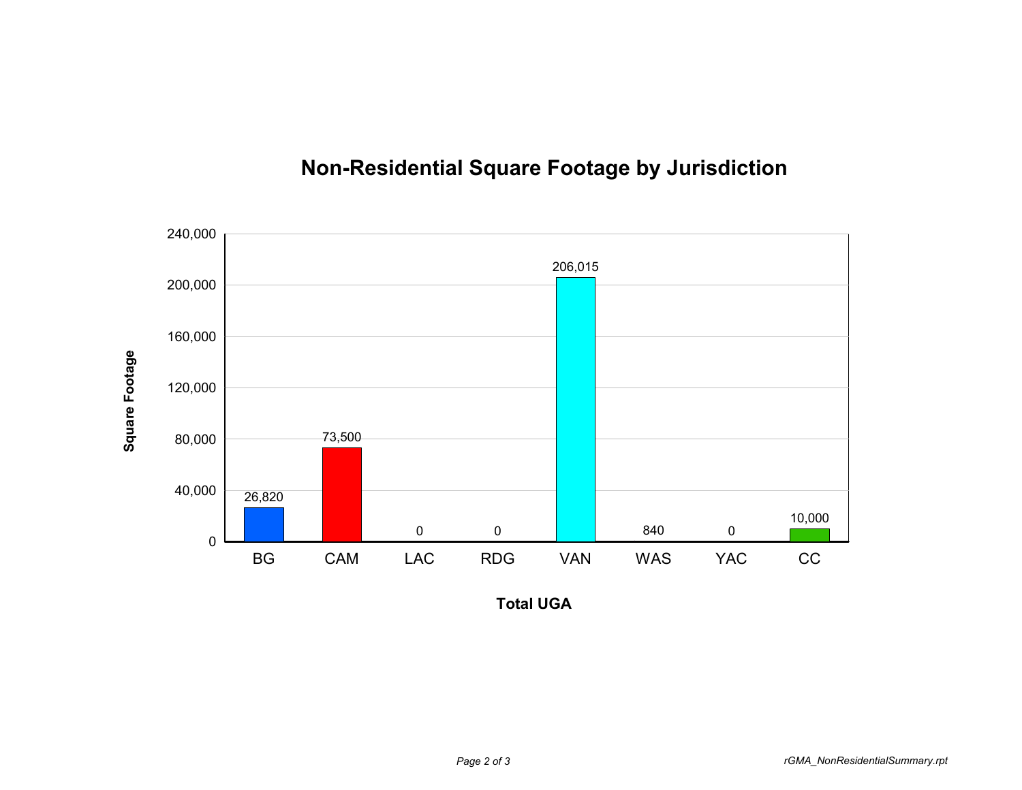

## **Non-Residential Square Footage by Jurisdiction**

**Total UGA**